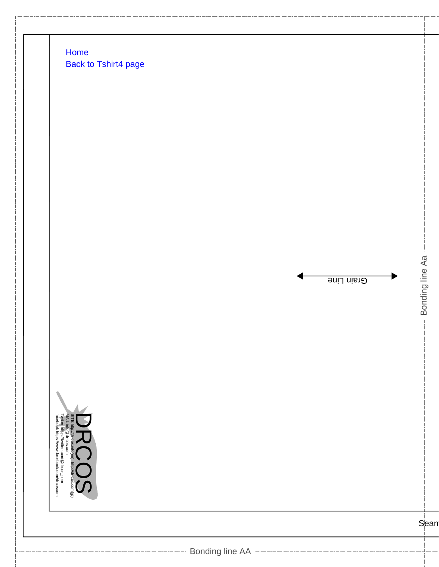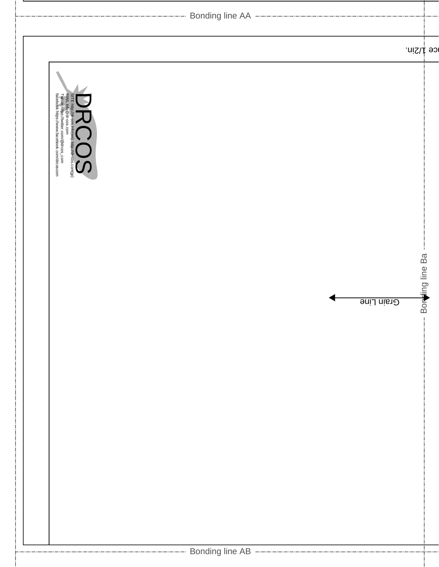| ---------------------- Bonding line AA --------------------------                                                                                                                |                                  |  |
|----------------------------------------------------------------------------------------------------------------------------------------------------------------------------------|----------------------------------|--|
|                                                                                                                                                                                  | ce  /2in.                        |  |
| SITE http://dr=oes.infofen) .http://dr=oos.com/jp)<br>MALL info@dr-cos.com<br>Twitter https://wwitter.com/@drcos_com<br>facebook https://www.facebook.com/drcoscom<br>Grain Line | Bonding line Ba<br>$\frac{1}{1}$ |  |
|                                                                                                                                                                                  |                                  |  |
|                                                                                                                                                                                  |                                  |  |
|                                                                                                                                                                                  |                                  |  |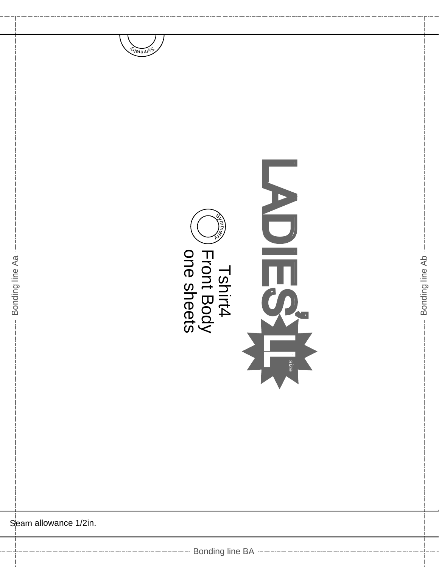



Bonding line Ab

Seam allowance 1/2in.

Bonding line Aa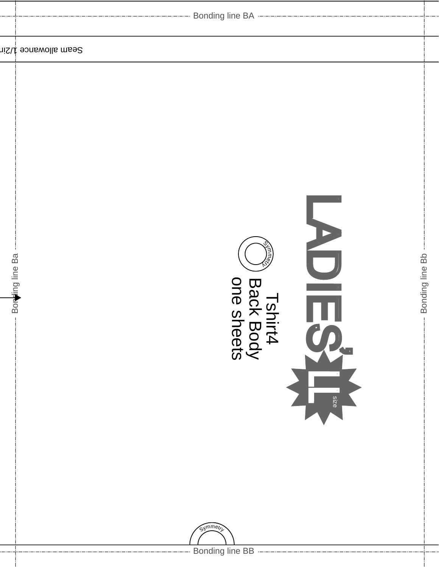| Seam allowance t/2in                                                                                                                       |                 |
|--------------------------------------------------------------------------------------------------------------------------------------------|-----------------|
| NDIE<br>Bording line Ba<br>Tshirt4<br>Back Body<br>one sheets<br>size<br>Symmetr <sub>L</sub><br>----- Bonding line BB ------------------- | Bonding line Bb |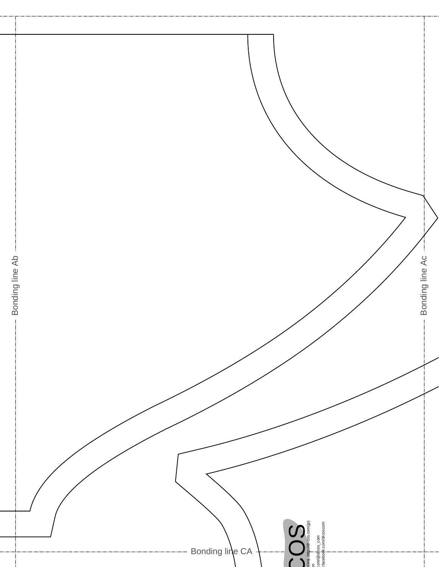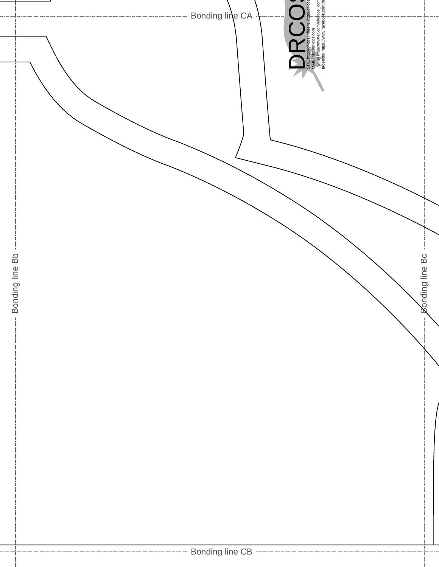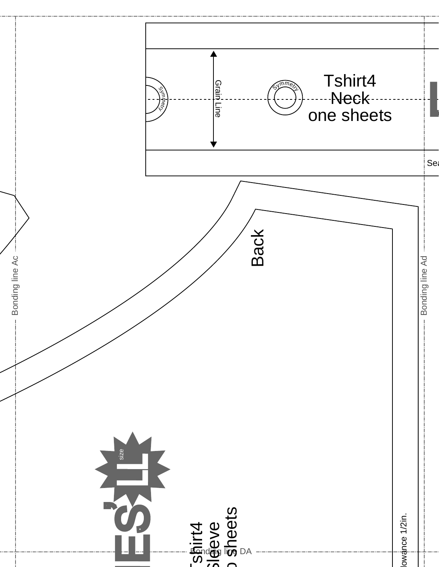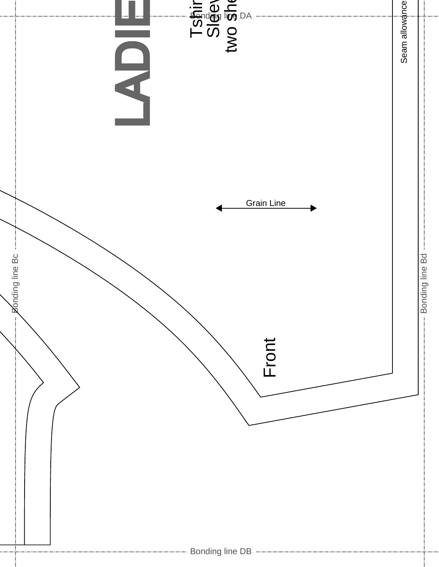